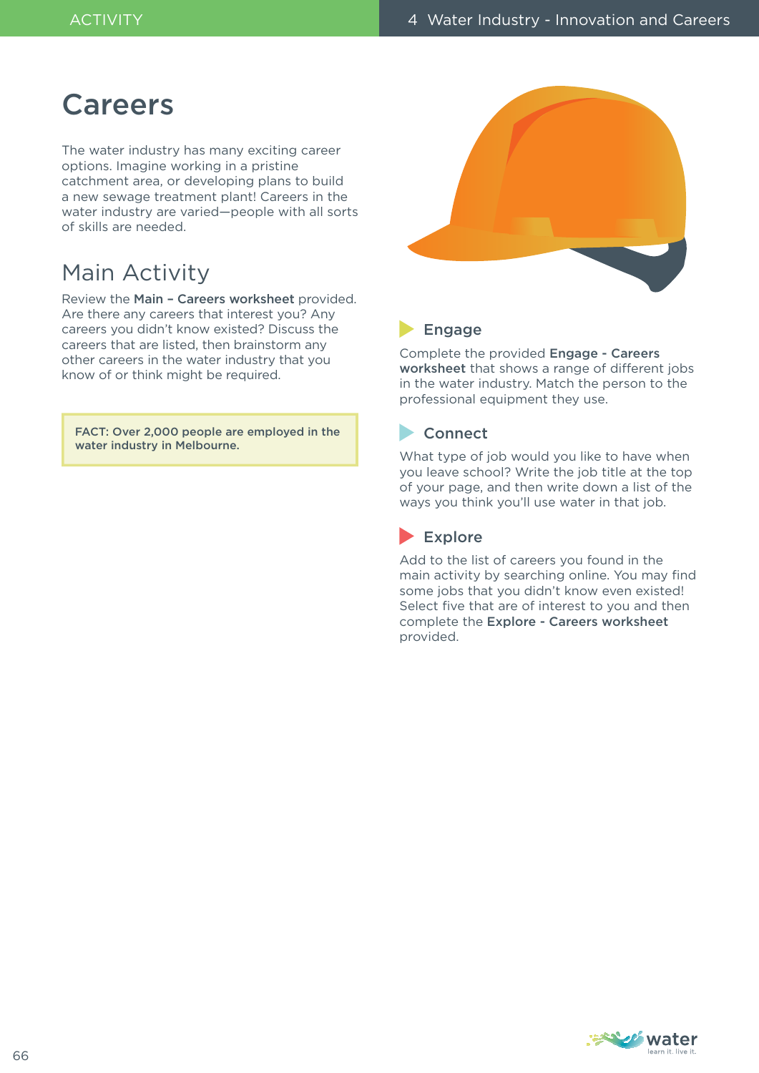## **Careers**

The water industry has many exciting career options. Imagine working in a pristine catchment area, or developing plans to build a new sewage treatment plant! Careers in the water industry are varied—people with all sorts of skills are needed.

## Main Activity

Review the Main – Careers worksheet provided. Are there any careers that interest you? Any careers you didn't know existed? Discuss the careers that are listed, then brainstorm any other careers in the water industry that you know of or think might be required.

FACT: Over 2,000 people are employed in the water industry in Melbourne.



### **Engage**

Complete the provided Engage - Careers worksheet that shows a range of different jobs in the water industry. Match the person to the professional equipment they use.

### **Connect**

What type of job would you like to have when you leave school? Write the job title at the top of your page, and then write down a list of the ways you think you'll use water in that job.

### Explore

Add to the list of careers you found in the main activity by searching online. You may find some jobs that you didn't know even existed! Select five that are of interest to you and then complete the Explore - Careers worksheet provided.

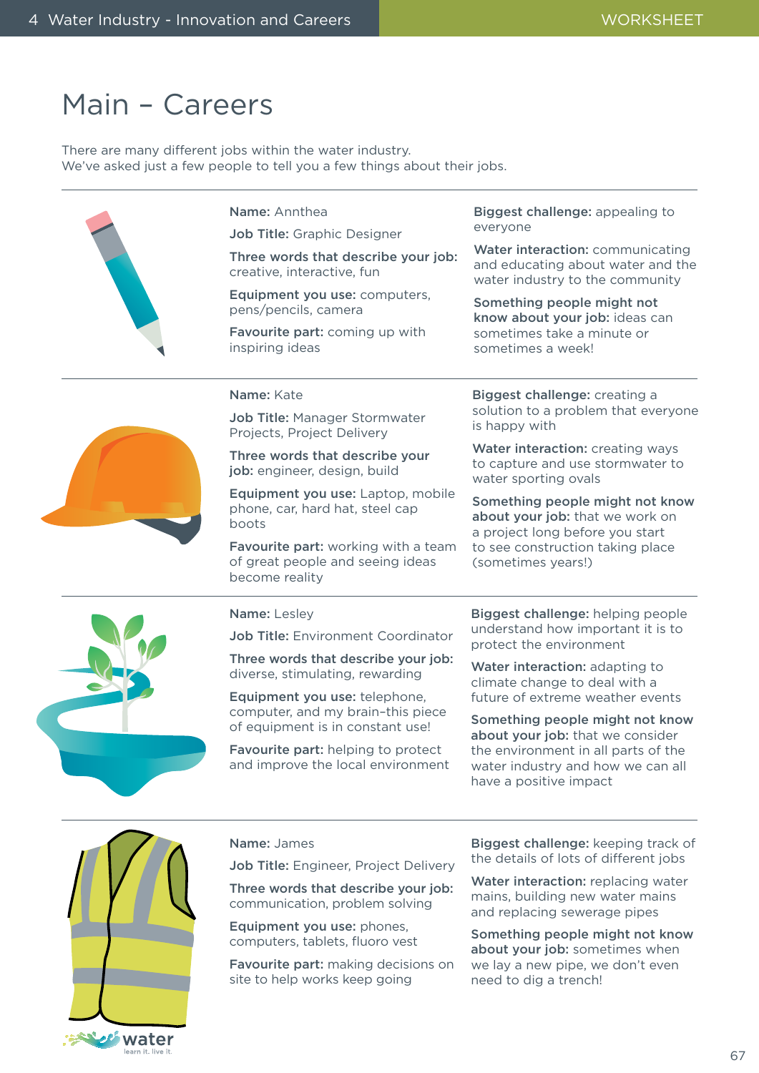## Main – Careers

There are many different jobs within the water industry. We've asked just a few people to tell you a few things about their jobs.

| Name: Annthea<br>Job Title: Graphic Designer<br>Three words that describe your job:<br>creative, interactive, fun<br>Equipment you use: computers,<br>pens/pencils, camera<br>Favourite part: coming up with<br>inspiring ideas | Biggest challenge: appealing to<br>everyone<br>Water interaction: communicating<br>and educating about water and the<br>water industry to the community<br>Something people might not<br>know about your job: ideas can<br>sometimes take a minute or<br>sometimes a week! |
|---------------------------------------------------------------------------------------------------------------------------------------------------------------------------------------------------------------------------------|----------------------------------------------------------------------------------------------------------------------------------------------------------------------------------------------------------------------------------------------------------------------------|
| Name: Kate<br>Job Title: Manager Stormwater<br>Projects, Project Delivery                                                                                                                                                       | Biggest challenge: creating a<br>solution to a problem that everyone<br>is happy with                                                                                                                                                                                      |
| Three words that describe your<br>job: engineer, design, build                                                                                                                                                                  | Water interaction: creating ways<br>to capture and use stormwater to<br>water sporting ovals                                                                                                                                                                               |
| Equipment you use: Laptop, mobile<br>phone, car, hard hat, steel cap<br>boots                                                                                                                                                   | Something people might not know<br>about your job: that we work on<br>a project long before you start                                                                                                                                                                      |
| Favourite part: working with a team<br>of great people and seeing ideas<br>become reality                                                                                                                                       | to see construction taking place<br>(sometimes years!)                                                                                                                                                                                                                     |
| Name: Lesley                                                                                                                                                                                                                    | Biggest challenge: helping people                                                                                                                                                                                                                                          |
| Job Title: Environment Coordinator                                                                                                                                                                                              | understand how important it is to<br>protect the environment                                                                                                                                                                                                               |
| Three words that describe your job:<br>diverse, stimulating, rewarding                                                                                                                                                          | Water interaction: adapting to<br>climate change to deal with a                                                                                                                                                                                                            |
| Equipment you use: telephone,<br>computer, and my brain-this piece                                                                                                                                                              | future of extreme weather events                                                                                                                                                                                                                                           |
| of equipment is in constant use!                                                                                                                                                                                                | Something people might not know<br>about your job: that we consider                                                                                                                                                                                                        |
| Favourite part: helping to protect<br>and improve the local environment                                                                                                                                                         | the environment in all parts of the<br>water industry and how we can all<br>have a positive impact                                                                                                                                                                         |
|                                                                                                                                                                                                                                 |                                                                                                                                                                                                                                                                            |



#### Name: James

Job Title: Engineer, Project Delivery

Three words that describe your job: communication, problem solving

Equipment you use: phones, computers, tablets, fluoro vest

Favourite part: making decisions on site to help works keep going

Biggest challenge: keeping track of the details of lots of different jobs

Water interaction: replacing water mains, building new water mains and replacing sewerage pipes

Something people might not know about your job: sometimes when we lay a new pipe, we don't even need to dig a trench!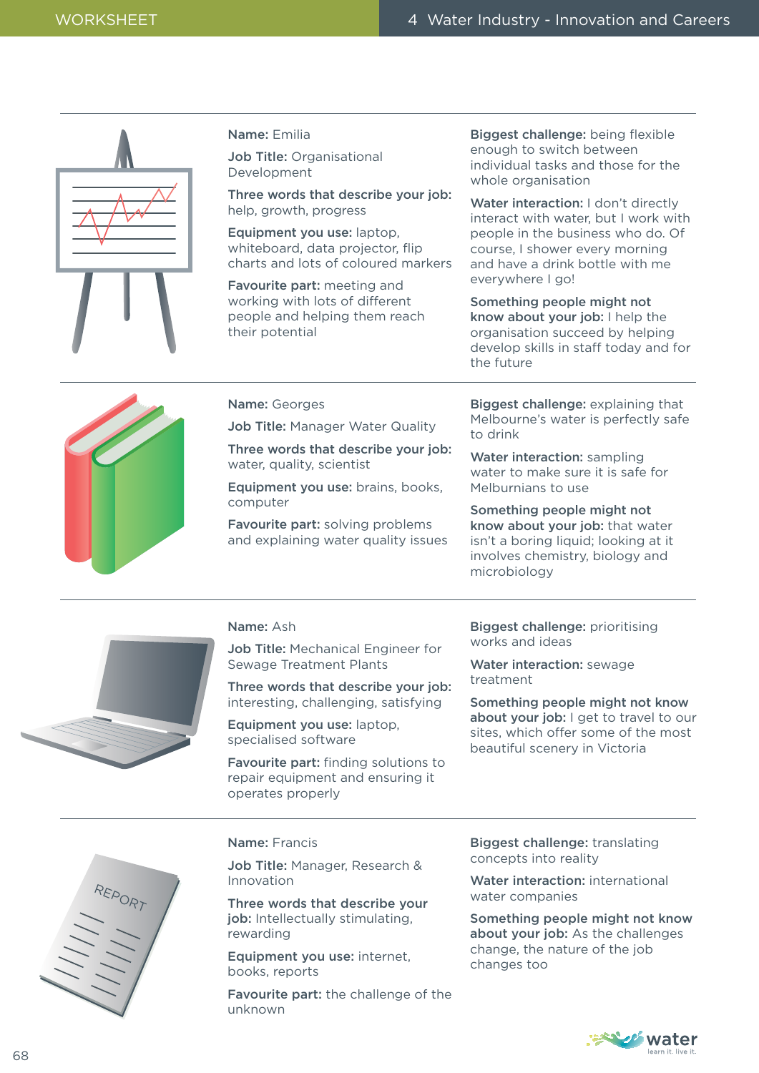| Name: Emilia<br>Job Title: Organisational<br>Development                                              | Biggest challenge: being flexible<br>enough to switch between<br>individual tasks and those for the<br>whole organisation                                                                                                     |
|-------------------------------------------------------------------------------------------------------|-------------------------------------------------------------------------------------------------------------------------------------------------------------------------------------------------------------------------------|
| Three words that describe your job:<br>help, growth, progress                                         | Water interaction: I don't directly<br>interact with water, but I work with                                                                                                                                                   |
| Equipment you use: laptop,<br>whiteboard, data projector, flip<br>charts and lots of coloured markers | people in the business who do. Of<br>course, I shower every morning<br>and have a drink bottle with me                                                                                                                        |
| Favourite part: meeting and                                                                           | everywhere I go!                                                                                                                                                                                                              |
| working with lots of different<br>people and helping them reach<br>their potential                    | Something people might not<br>know about your job: I help the<br>organisation succeed by helping<br>develop skills in staff today and for<br>the future                                                                       |
| Name: Georges                                                                                         | Biggest challenge: explaining that                                                                                                                                                                                            |
| Job Title: Manager Water Quality                                                                      | Melbourne's water is perfectly safe<br>to drink                                                                                                                                                                               |
| Three words that describe your job:<br>water, quality, scientist                                      | Water interaction: sampling<br>water to make sure it is safe for                                                                                                                                                              |
| Equipment you use: brains, books,                                                                     | Melburnians to use                                                                                                                                                                                                            |
| computer                                                                                              | A construction of the construction of the construction of the construction of the construction of the construction of the construction of the construction of the construction of the construction of the construction of the |

and explaining water quality issues Something people might not know about your job: that water isn't a boring liquid; looking at it involves chemistry, biology and microbiology



#### Name: Ash

Job Title: Mechanical Engineer for Sewage Treatment Plants

Favourite part: solving problems

Three words that describe your job: interesting, challenging, satisfying

Equipment you use: laptop, specialised software

Favourite part: finding solutions to repair equipment and ensuring it operates properly

Biggest challenge: prioritising works and ideas

Water interaction: sewage treatment

Something people might not know about your job: I get to travel to our sites, which offer some of the most beautiful scenery in Victoria



#### Name: Francis

Job Title: Manager, Research & Innovation

Three words that describe your job: Intellectually stimulating, rewarding

Equipment you use: internet, books, reports

Favourite part: the challenge of the unknown

Biggest challenge: translating concepts into reality

Water interaction: international water companies

Something people might not know about your job: As the challenges change, the nature of the job changes too

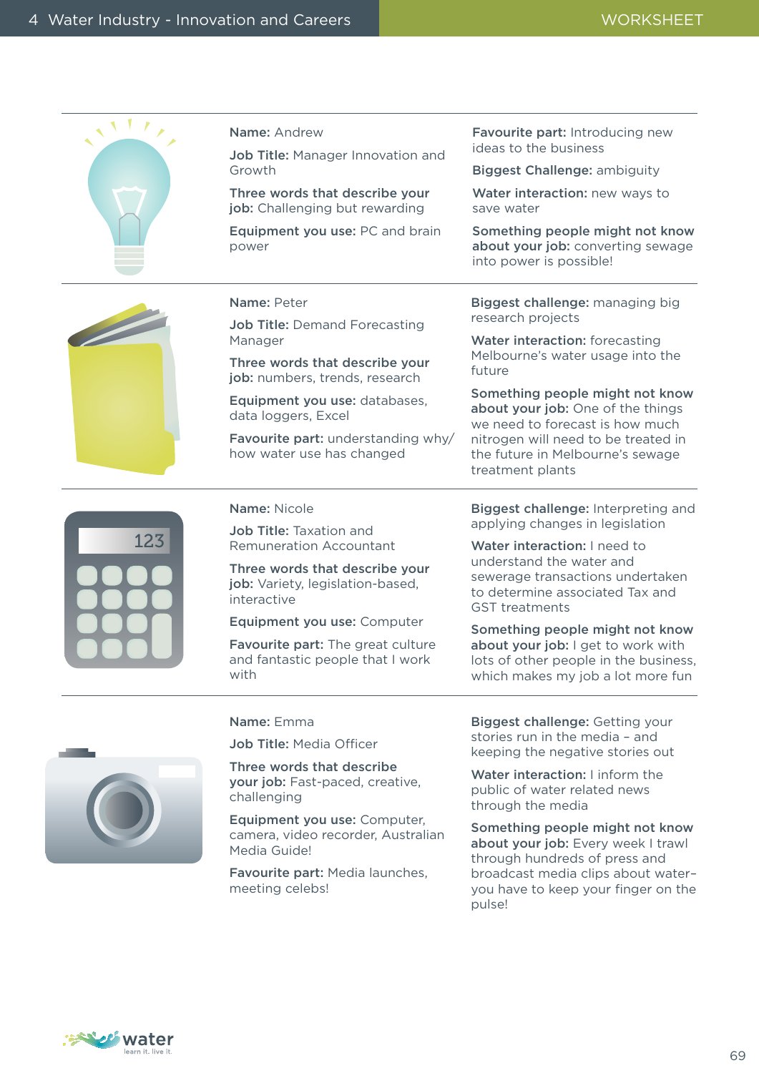|     | <b>Name: Andrew</b>                                                               | Favourite part: Introducing new<br>ideas to the business                                                                                                                                                                              |
|-----|-----------------------------------------------------------------------------------|---------------------------------------------------------------------------------------------------------------------------------------------------------------------------------------------------------------------------------------|
|     | Job Title: Manager Innovation and<br>Growth                                       | <b>Biggest Challenge: ambiguity</b>                                                                                                                                                                                                   |
|     | Three words that describe your<br>job: Challenging but rewarding                  | Water interaction: new ways to<br>save water                                                                                                                                                                                          |
|     | Equipment you use: PC and brain<br>power                                          | Something people might not know<br>about your job: converting sewage<br>into power is possible!                                                                                                                                       |
|     | Name: Peter                                                                       | Biggest challenge: managing big                                                                                                                                                                                                       |
|     | <b>Job Title: Demand Forecasting</b><br>Manager                                   | research projects<br>Water interaction: forecasting                                                                                                                                                                                   |
|     | Three words that describe your<br>job: numbers, trends, research                  | Melbourne's water usage into the<br>future                                                                                                                                                                                            |
|     | Equipment you use: databases,<br>data loggers, Excel                              | Something people might not know<br>about your job: One of the things<br>we need to forecast is how much                                                                                                                               |
|     | Favourite part: understanding why/<br>how water use has changed                   | nitrogen will need to be treated in<br>the future in Melbourne's sewage<br>treatment plants                                                                                                                                           |
|     | Name: Nicole                                                                      | Biggest challenge: Interpreting and                                                                                                                                                                                                   |
| 123 | <b>Job Title: Taxation and</b><br><b>Remuneration Accountant</b>                  | applying changes in legislation<br>Water interaction: I need to                                                                                                                                                                       |
|     | Three words that describe your<br>job: Variety, legislation-based,<br>interactive | understand the water and<br>sewerage transactions undertaken<br>to determine associated Tax and<br><b>GST</b> treatments                                                                                                              |
|     | Equipment you use: Computer                                                       | Something people might not know                                                                                                                                                                                                       |
|     | Favourite part: The great culture<br>and fantastic people that I work<br>with     | about your job: I get to work with<br>lots of other people in the business,<br>which makes my job a lot more fun                                                                                                                      |
|     | Name: Emma                                                                        | Biggest challenge: Getting your                                                                                                                                                                                                       |
|     | <b>Job Title: Media Officer</b>                                                   | stories run in the media - and<br>keeping the negative stories out                                                                                                                                                                    |
|     | Three words that describe                                                         | $\mathbf{v}$ and $\mathbf{v}$ are a set of the set of the set of the set of the set of the set of the set of the set of the set of the set of the set of the set of the set of the set of the set of the set of the set of the set of |

your job: Fast-paced, creative,

Equipment you use: Computer, camera, video recorder, Australian

Favourite part: Media launches,

challenging

Media Guide!

meeting celebs!

Water interaction: I inform the public of water related news through the media

Something people might not know about your job: Every week I trawl through hundreds of press and broadcast media clips about water– you have to keep your finger on the pulse!

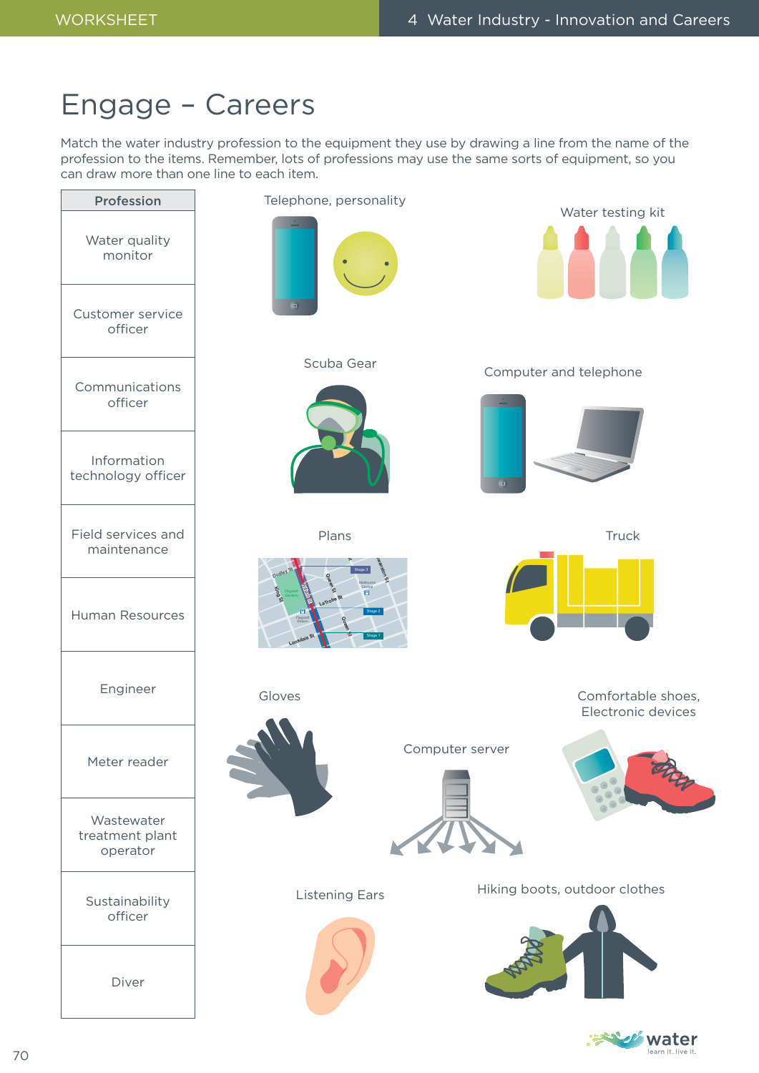# Engage – Careers

Match the water industry profession to the equipment they use by drawing a line from the name of the profession to the items. Remember, lots of professions may use the same sorts of equipment, so you can draw more than one line to each item.